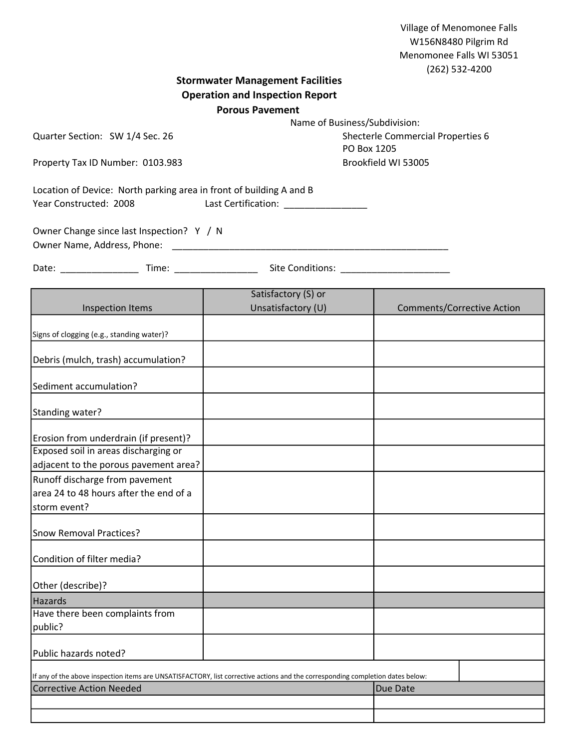|                                                                                                                                |                                                                                                                      | Village of Menomonee Falls<br>W156N8480 Pilgrim Rd<br>Menomonee Falls WI 53051<br>(262) 532-4200 |
|--------------------------------------------------------------------------------------------------------------------------------|----------------------------------------------------------------------------------------------------------------------|--------------------------------------------------------------------------------------------------|
|                                                                                                                                | <b>Stormwater Management Facilities</b>                                                                              |                                                                                                  |
| <b>Operation and Inspection Report</b>                                                                                         |                                                                                                                      |                                                                                                  |
| <b>Porous Pavement</b><br>Name of Business/Subdivision:                                                                        |                                                                                                                      |                                                                                                  |
|                                                                                                                                |                                                                                                                      |                                                                                                  |
| Quarter Section: SW 1/4 Sec. 26                                                                                                |                                                                                                                      | Shecterle Commercial Properties 6<br>PO Box 1205                                                 |
| Property Tax ID Number: 0103.983                                                                                               |                                                                                                                      | Brookfield WI 53005                                                                              |
|                                                                                                                                |                                                                                                                      |                                                                                                  |
| Location of Device: North parking area in front of building A and B<br>Year Constructed: 2008                                  |                                                                                                                      |                                                                                                  |
| Owner Change since last Inspection? Y / N<br>Owner Name, Address, Phone:                                                       | <u> 1980 - Jan James James James James James James James James James James James James James James James James J</u> |                                                                                                  |
|                                                                                                                                |                                                                                                                      |                                                                                                  |
|                                                                                                                                | Satisfactory (S) or                                                                                                  |                                                                                                  |
| <b>Inspection Items</b>                                                                                                        | Unsatisfactory (U)                                                                                                   | <b>Comments/Corrective Action</b>                                                                |
|                                                                                                                                |                                                                                                                      |                                                                                                  |
| Signs of clogging (e.g., standing water)?                                                                                      |                                                                                                                      |                                                                                                  |
| Debris (mulch, trash) accumulation?                                                                                            |                                                                                                                      |                                                                                                  |
| Sediment accumulation?                                                                                                         |                                                                                                                      |                                                                                                  |
| Standing water?                                                                                                                |                                                                                                                      |                                                                                                  |
| Erosion from underdrain (if present)?                                                                                          |                                                                                                                      |                                                                                                  |
| Exposed soil in areas discharging or                                                                                           |                                                                                                                      |                                                                                                  |
| adjacent to the porous pavement area?                                                                                          |                                                                                                                      |                                                                                                  |
| Runoff discharge from pavement                                                                                                 |                                                                                                                      |                                                                                                  |
| area 24 to 48 hours after the end of a                                                                                         |                                                                                                                      |                                                                                                  |
| storm event?                                                                                                                   |                                                                                                                      |                                                                                                  |
| Snow Removal Practices?                                                                                                        |                                                                                                                      |                                                                                                  |
| Condition of filter media?                                                                                                     |                                                                                                                      |                                                                                                  |
| Other (describe)?                                                                                                              |                                                                                                                      |                                                                                                  |
| Hazards                                                                                                                        |                                                                                                                      |                                                                                                  |
| Have there been complaints from                                                                                                |                                                                                                                      |                                                                                                  |
| public?                                                                                                                        |                                                                                                                      |                                                                                                  |
| Public hazards noted?                                                                                                          |                                                                                                                      |                                                                                                  |
| If any of the above inspection items are UNSATISFACTORY, list corrective actions and the corresponding completion dates below: |                                                                                                                      |                                                                                                  |
| <b>Corrective Action Needed</b>                                                                                                |                                                                                                                      | Due Date                                                                                         |
|                                                                                                                                |                                                                                                                      |                                                                                                  |
|                                                                                                                                |                                                                                                                      |                                                                                                  |